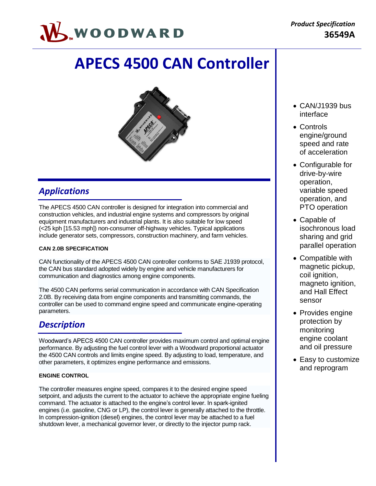

# **APECS 4500 CAN Controller**



### *Applications*

The APECS 4500 CAN controller is designed for integration into commercial and construction vehicles, and industrial engine systems and compressors by original equipment manufacturers and industrial plants. It is also suitable for low speed (<25 kph [15.53 mph]) non-consumer off-highway vehicles. Typical applications include generator sets, compressors, construction machinery, and farm vehicles.

### **CAN 2.0B SPECIFICATION**

CAN functionality of the APECS 4500 CAN controller conforms to SAE J1939 protocol, the CAN bus standard adopted widely by engine and vehicle manufacturers for communication and diagnostics among engine components.

The 4500 CAN performs serial communication in accordance with CAN Specification 2.0B. By receiving data from engine components and transmitting commands, the controller can be used to command engine speed and communicate engine-operating parameters.

### *Description*

Woodward's APECS 4500 CAN controller provides maximum control and optimal engine performance. By adjusting the fuel control lever with a Woodward proportional actuator the 4500 CAN controls and limits engine speed. By adjusting to load, temperature, and other parameters, it optimizes engine performance and emissions.

### **ENGINE CONTROL**

The controller measures engine speed, compares it to the desired engine speed setpoint, and adjusts the current to the actuator to achieve the appropriate engine fueling command. The actuator is attached to the engine's control lever. In spark-ignited engines (i.e. gasoline, CNG or LP), the control lever is generally attached to the throttle. In compression-ignition (diesel) engines, the control lever may be attached to a fuel shutdown lever, a mechanical governor lever, or directly to the injector pump rack.

- CAN/J1939 bus interface
- Controls engine/ground speed and rate of acceleration
- Configurable for drive-by-wire operation, variable speed operation, and PTO operation
- Capable of isochronous load sharing and grid parallel operation
- Compatible with magnetic pickup, coil ignition, magneto ignition, and Hall Effect sensor
- Provides engine protection by monitoring engine coolant and oil pressure
- Easy to customize and reprogram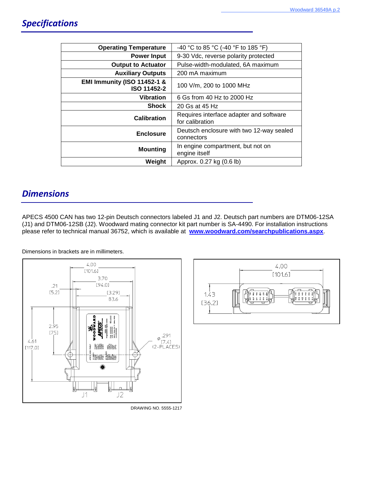| <b>Operating Temperature</b>                          | -40 °C to 85 °C (-40 °F to 185 °F)                         |
|-------------------------------------------------------|------------------------------------------------------------|
| <b>Power Input</b>                                    | 9-30 Vdc, reverse polarity protected                       |
| <b>Output to Actuator</b>                             | Pulse-width-modulated, 6A maximum                          |
| <b>Auxiliary Outputs</b>                              | 200 mA maximum                                             |
| <b>EMI Immunity (ISO 11452-1 &amp;</b><br>ISO 11452-2 | 100 V/m, 200 to 1000 MHz                                   |
| <b>Vibration</b>                                      | 6 Gs from 40 Hz to 2000 Hz                                 |
| <b>Shock</b>                                          | 20 Gs at 45 Hz                                             |
| Calibration                                           | Requires interface adapter and software<br>for calibration |
| <b>Enclosure</b>                                      | Deutsch enclosure with two 12-way sealed<br>connectors     |
| <b>Mounting</b>                                       | In engine compartment, but not on<br>engine itself         |
| Weight                                                | Approx. 0.27 kg (0.6 lb)                                   |

### *Dimensions*

APECS 4500 CAN has two 12-pin Deutsch connectors labeled J1 and J2. Deutsch part numbers are DTM06-12SA (J1) and DTM06-12SB (J2). Woodward mating connector kit part number is SA-4490. For installation instructions please refer to technical manual 36752, which is available at **[www.woodward.com/searchpublications.aspx](http://www.woodward.com/searchpublications.aspx)**.

Dimensions in brackets are in millimeters.





DRAWING NO. 5555-1217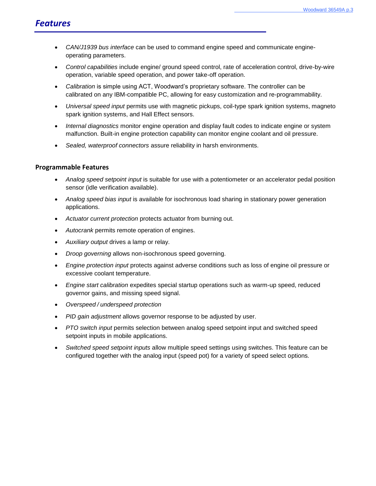- *CAN/J1939 bus interface* can be used to command engine speed and communicate engineoperating parameters.
- *Control capabilities* include engine/ ground speed control, rate of acceleration control, drive-by-wire operation, variable speed operation, and power take-off operation.
- *Calibration* is simple using ACT, Woodward's proprietary software. The controller can be calibrated on any IBM-compatible PC, allowing for easy customization and re-programmability.
- *Universal speed input* permits use with magnetic pickups, coil-type spark ignition systems, magneto spark ignition systems, and Hall Effect sensors.
- *Internal diagnostics* monitor engine operation and display fault codes to indicate engine or system malfunction. Built-in engine protection capability can monitor engine coolant and oil pressure.
- *Sealed, waterproof connectors* assure reliability in harsh environments.

### **Programmable Features**

- *Analog speed setpoint input* is suitable for use with a potentiometer or an accelerator pedal position sensor (idle verification available).
- *Analog speed bias input* is available for isochronous load sharing in stationary power generation applications.
- *Actuator current protection* protects actuator from burning out.
- *Autocrank* permits remote operation of engines.
- *Auxiliary output* drives a lamp or relay.
- *Droop governing* allows non-isochronous speed governing.
- *Engine protection input* protects against adverse conditions such as loss of engine oil pressure or excessive coolant temperature.
- *Engine start calibration* expedites special startup operations such as warm-up speed, reduced governor gains, and missing speed signal.
- *Overspeed / underspeed protection*
- *PID gain adjustment* allows governor response to be adjusted by user.
- *PTO switch input* permits selection between analog speed setpoint input and switched speed setpoint inputs in mobile applications.
- *Switched speed setpoint inputs* allow multiple speed settings using switches. This feature can be configured together with the analog input (speed pot) for a variety of speed select options*.*